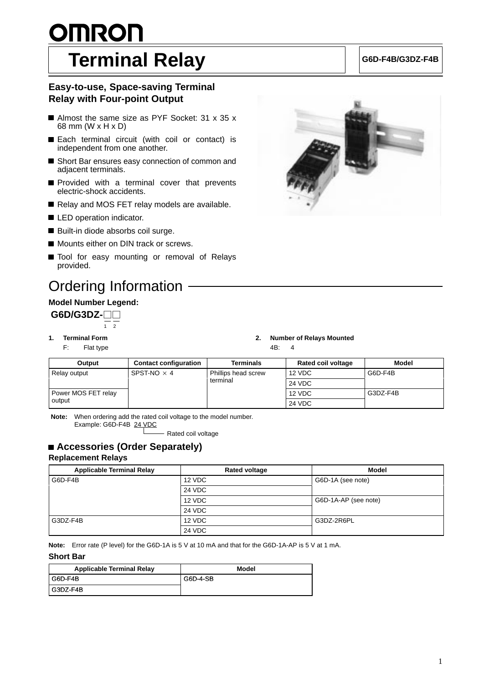### **Easy-to-use, Space-saving Terminal Relay with Four-point Output**

- Almost the same size as PYF Socket: 31 x 35 x 68 mm (W x H x D)
- Each terminal circuit (with coil or contact) is independent from one another.
- Short Bar ensures easy connection of common and adjacent terminals.
- Provided with a terminal cover that prevents electric-shock accidents.
- Relay and MOS FET relay models are available.
- **LED** operation indicator.
- Built-in diode absorbs coil surge.
- **Mounts either on DIN track or screws.**
- Tool for easy mounting or removal of Relays provided.

# Ordering Information

### **Model Number Legend:**



- **1. Terminal Form**
	- F: Flat type

**2. Number of Relays Mounted**

4B: 4

| Output              | <b>Contact configuration</b> | Terminals           | Rated coil voltage | <b>Model</b> |
|---------------------|------------------------------|---------------------|--------------------|--------------|
| Relay output        | SPST-NO $\times$ 4           | Phillips head screw | 12 VDC             | G6D-F4B      |
|                     |                              | terminal            | 24 VDC             |              |
| Power MOS FET relay |                              |                     | 12 VDC             | G3DZ-F4B     |
| output              |                              |                     | <b>24 VDC</b>      |              |

**Note:** When ordering add the rated coil voltage to the model number. Example: G6D-F4B 24 VDC

Rated coil voltage

### **Accessories (Order Separately) Replacement Relays**

| <b>Applicable Terminal Relay</b> | <b>Rated voltage</b> | <b>Model</b>         |
|----------------------------------|----------------------|----------------------|
| G6D-F4B                          | 12 VDC               | G6D-1A (see note)    |
|                                  | 24 VDC               |                      |
|                                  | 12 VDC               | G6D-1A-AP (see note) |
|                                  | 24 VDC               |                      |
| G3DZ-F4B                         | 12 VDC               | G3DZ-2R6PL           |
|                                  | 24 VDC               |                      |

**Note:** Error rate (P level) for the G6D-1A is 5 V at 10 mA and that for the G6D-1A-AP is 5 V at 1 mA.

### **Short Bar**

| <b>Applicable Terminal Relay</b> | Model    |
|----------------------------------|----------|
| I G6D-F4B                        | G6D-4-SB |
| I G3DZ-F4B                       |          |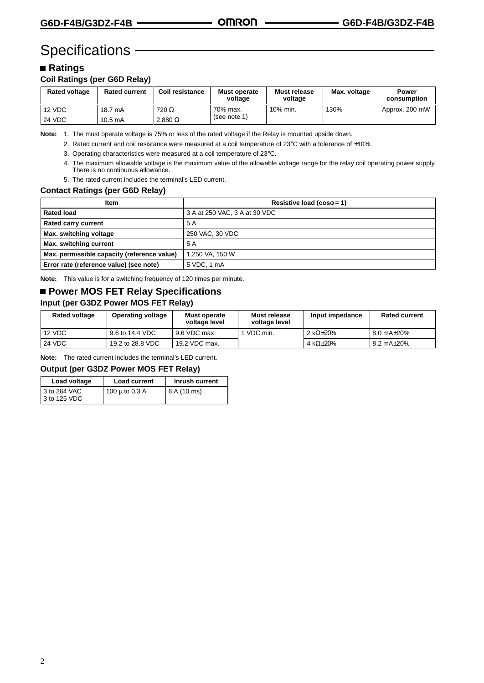# Specifications -

# **Ratings**

### **Coil Ratings (per G6D Relay)**

| <b>Rated voltage</b> | <b>Rated current</b> | <b>Coil resistance</b> | Must operate<br>voltage | <b>Must release</b><br>voltage | Max. voltage | Power<br>consumption |
|----------------------|----------------------|------------------------|-------------------------|--------------------------------|--------------|----------------------|
| 12 VDC               | 18.7 mA              | $720 \Omega$           | 70% max.                | 10% min.                       | 130%         | Approx. 200 mW       |
| <b>24 VDC</b>        | $10.5 \text{ mA}$    | 2.880 $\Omega$         | (see note 1)            |                                |              |                      |

**Note:** 1. The must operate voltage is 75% or less of the rated voltage if the Relay is mounted upside down.

2. Rated current and coil resistance were measured at a coil temperature of 23°C with a tolerance of ±10%.

3. Operating characteristics were measured at a coil temperature of 23°C.

4. The maximum allowable voltage is the maximum value of the allowable voltage range for the relay coil operating power supply. There is no continuous allowance.

5. The rated current includes the terminal's LED current.

### **Contact Ratings (per G6D Relay)**

| Item                                        | Resistive load ( $cos\phi = 1$ ) |
|---------------------------------------------|----------------------------------|
| <b>Rated load</b>                           | 3 A at 250 VAC, 3 A at 30 VDC    |
| <b>Rated carry current</b>                  | 5 A                              |
| Max. switching voltage                      | 250 VAC, 30 VDC                  |
| Max. switching current                      | 5 A                              |
| Max. permissible capacity (reference value) | 1,250 VA, 150 W                  |
| Error rate (reference value) (see note)     | 5 VDC, 1 mA                      |

**Note:** This value is for a switching frequency of 120 times per minute.

# **Power MOS FET Relay Specifications**

## **Input (per G3DZ Power MOS FET Relay)**

| <b>Rated voltage</b> | <b>Operating voltage</b> | Must operate<br>voltage level | Must release<br>voltage level | Input impedance    | <b>Rated current</b> |
|----------------------|--------------------------|-------------------------------|-------------------------------|--------------------|----------------------|
| 12 VDC               | 9.6 to 14.4 VDC          | 9.6 VDC max.                  | 1 VDC min.                    | 2 k $\Omega$ + 20% | 8.0 mA $\pm$ 20%     |
| <b>24 VDC</b>        | 19.2 to 28.8 VDC         | 19.2 VDC max.                 |                               | 4 k $\Omega$ ± 20% | 8.2 mA $\pm$ 20%     |

**Note:** The rated current includes the terminal's LED current.

### **Output (per G3DZ Power MOS FET Relay)**

| Load voltage                 | <b>Load current</b> | Inrush current |
|------------------------------|---------------------|----------------|
| 3 to 264 VAC<br>3 to 125 VDC | 100 µ to 0.3 A      | 6 A (10 ms)    |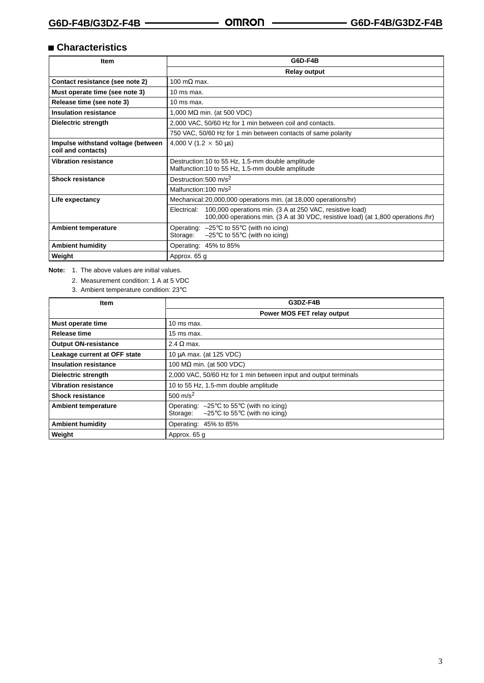## **Characteristics**

| <b>Item</b>                                                  | G6D-F4B                                                                                                                                                      |  |  |
|--------------------------------------------------------------|--------------------------------------------------------------------------------------------------------------------------------------------------------------|--|--|
|                                                              | <b>Relay output</b>                                                                                                                                          |  |  |
| Contact resistance (see note 2)                              | 100 m $\Omega$ max.                                                                                                                                          |  |  |
| Must operate time (see note 3)                               | $10$ ms max.                                                                                                                                                 |  |  |
| Release time (see note 3)                                    | 10 ms max.                                                                                                                                                   |  |  |
| <b>Insulation resistance</b>                                 | 1,000 M $\Omega$ min. (at 500 VDC)                                                                                                                           |  |  |
| Dielectric strength                                          | 2,000 VAC, 50/60 Hz for 1 min between coil and contacts.                                                                                                     |  |  |
|                                                              | 750 VAC, 50/60 Hz for 1 min between contacts of same polarity                                                                                                |  |  |
| Impulse withstand voltage (between<br>coil and contacts)     | 4,000 V (1.2 $\times$ 50 µs)                                                                                                                                 |  |  |
| <b>Vibration resistance</b>                                  | Destruction: 10 to 55 Hz, 1.5-mm double amplitude<br>Malfunction: 10 to 55 Hz, 1.5-mm double amplitude                                                       |  |  |
| Destruction: 500 m/s <sup>2</sup><br><b>Shock resistance</b> |                                                                                                                                                              |  |  |
|                                                              | Malfunction: $100 \text{ m/s}^2$                                                                                                                             |  |  |
| Life expectancy                                              | Mechanical: 20,000,000 operations min. (at 18,000 operations/hr)                                                                                             |  |  |
|                                                              | 100,000 operations min. (3 A at 250 VAC, resistive load)<br>Electrical:<br>100,000 operations min. (3 A at 30 VDC, resistive load) (at 1,800 operations /hr) |  |  |
| <b>Ambient temperature</b>                                   | $-25^{\circ}$ C to 55 $^{\circ}$ C (with no icing)<br>Operating:<br>$-25^{\circ}$ C to 55 $^{\circ}$ C (with no icing)<br>Storage:                           |  |  |
| <b>Ambient humidity</b>                                      | Operating: 45% to 85%                                                                                                                                        |  |  |
| Weight                                                       | Approx. 65 g                                                                                                                                                 |  |  |

**Note:** 1. The above values are initial values.

- 2. Measurement condition: 1 A at 5 VDC
- 3. Ambient temperature condition: 23°C

| G3DZ-F4B<br><b>Item</b>      |                                                                                                                                 |  |
|------------------------------|---------------------------------------------------------------------------------------------------------------------------------|--|
|                              | Power MOS FET relay output                                                                                                      |  |
| Must operate time            | $10$ ms max.                                                                                                                    |  |
| Release time                 | $15$ ms max.                                                                                                                    |  |
| <b>Output ON-resistance</b>  | 2.4 $\Omega$ max.                                                                                                               |  |
| Leakage current at OFF state | 10 μA max. (at 125 VDC)                                                                                                         |  |
| <b>Insulation resistance</b> | 100 M $\Omega$ min. (at 500 VDC)                                                                                                |  |
| Dielectric strength          | 2,000 VAC, 50/60 Hz for 1 min between input and output terminals                                                                |  |
| <b>Vibration resistance</b>  | 10 to 55 Hz, 1.5-mm double amplitude                                                                                            |  |
| <b>Shock resistance</b>      | 500 m/s <sup>2</sup>                                                                                                            |  |
| <b>Ambient temperature</b>   | Operating: $-25^{\circ}$ C to 55 $^{\circ}$ C (with no icing)<br>$-25^{\circ}$ C to 55 $^{\circ}$ C (with no icing)<br>Storage: |  |
| <b>Ambient humidity</b>      | Operating: 45% to 85%                                                                                                           |  |
| Weight                       | Approx. 65 g                                                                                                                    |  |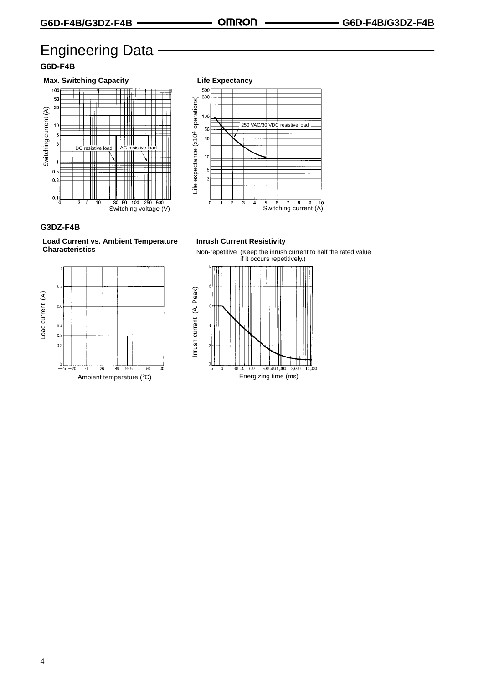# Engineering Data

# **G6D-F4B**





### **G3DZ-F4B**

**Load Current vs. Ambient Temperature Characteristics**



### **Inrush Current Resistivity**

Non-repetitive (Keep the inrush current to half the rated value

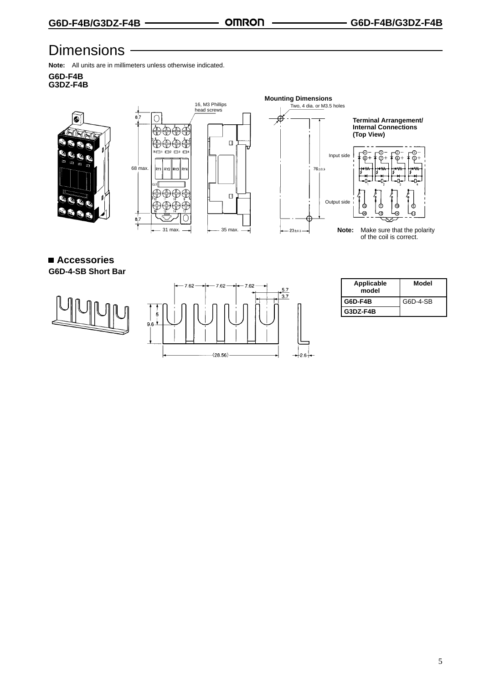# **Dimensions**

**Note:** All units are in millimeters unless otherwise indicated.

**G6D-F4B G3DZ-F4B**











**Note:** Make sure that the polarity of the coil is correct.

 **Accessories G6D-4-SB Short Bar**





니

| Applicable<br>model | Model    |
|---------------------|----------|
| G6D-F4B             | G6D-4-SB |
| G3DZ-F4B            |          |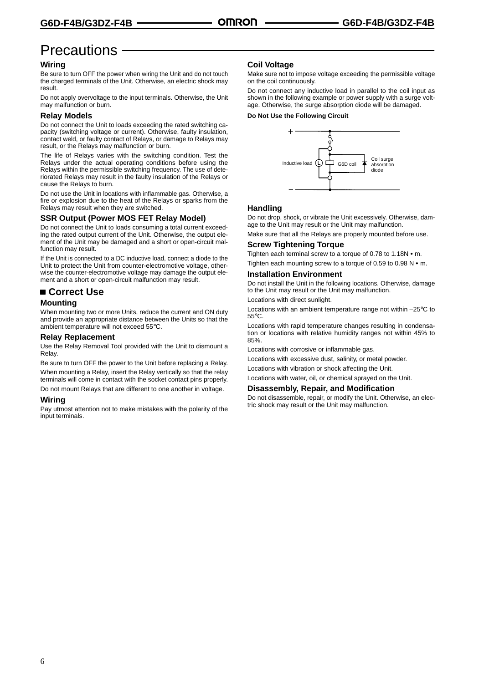# **Precautions**

### **Wiring**

Be sure to turn OFF the power when wiring the Unit and do not touch the charged terminals of the Unit. Otherwise, an electric shock may result.

Do not apply overvoltage to the input terminals. Otherwise, the Unit may malfunction or burn.

### **Relay Models**

Do not connect the Unit to loads exceeding the rated switching capacity (switching voltage or current). Otherwise, faulty insulation, contact weld, or faulty contact of Relays, or damage to Relays may result, or the Relays may malfunction or burn.

The life of Relays varies with the switching condition. Test the Relays under the actual operating conditions before using the Relays within the permissible switching frequency. The use of deteriorated Relays may result in the faulty insulation of the Relays or cause the Relays to burn.

Do not use the Unit in locations with inflammable gas. Otherwise, a fire or explosion due to the heat of the Relays or sparks from the Relays may result when they are switched.

### **SSR Output (Power MOS FET Relay Model)**

Do not connect the Unit to loads consuming a total current exceeding the rated output current of the Unit. Otherwise, the output element of the Unit may be damaged and a short or open-circuit malfunction may result.

If the Unit is connected to a DC inductive load, connect a diode to the Unit to protect the Unit from counter-electromotive voltage, otherwise the counter-electromotive voltage may damage the output element and a short or open-circuit malfunction may result.

### **Correct Use**

### **Mounting**

When mounting two or more Units, reduce the current and ON duty and provide an appropriate distance between the Units so that the ambient temperature will not exceed 55°C.

#### **Relay Replacement**

Use the Relay Removal Tool provided with the Unit to dismount a Relay.

Be sure to turn OFF the power to the Unit before replacing a Relay. When mounting a Relay, insert the Relay vertically so that the relay terminals will come in contact with the socket contact pins properly.

Do not mount Relays that are different to one another in voltage.

#### **Wiring**

Pay utmost attention not to make mistakes with the polarity of the input terminals.

### **Coil Voltage**

Make sure not to impose voltage exceeding the permissible voltage on the coil continuously.

Do not connect any inductive load in parallel to the coil input as shown in the following example or power supply with a surge voltage. Otherwise, the surge absorption diode will be damaged.

#### **Do Not Use the Following Circuit**



### **Handling**

Do not drop, shock, or vibrate the Unit excessively. Otherwise, damage to the Unit may result or the Unit may malfunction.

Make sure that all the Relays are properly mounted before use.

### **Screw Tightening Torque**

Tighten each terminal screw to a torque of 0.78 to 1.18N • m.

Tighten each mounting screw to a torque of 0.59 to 0.98  $N \cdot m$ .

#### **Installation Environment**

Do not install the Unit in the following locations. Otherwise, damage to the Unit may result or the Unit may malfunction.

Locations with direct sunlight.

Locations with an ambient temperature range not within –25°C to 55°C.

Locations with rapid temperature changes resulting in condensation or locations with relative humidity ranges not within 45% to 85%.

Locations with corrosive or inflammable gas.

Locations with excessive dust, salinity, or metal powder.

Locations with vibration or shock affecting the Unit.

Locations with water, oil, or chemical sprayed on the Unit.

### **Disassembly, Repair, and Modification**

Do not disassemble, repair, or modify the Unit. Otherwise, an electric shock may result or the Unit may malfunction.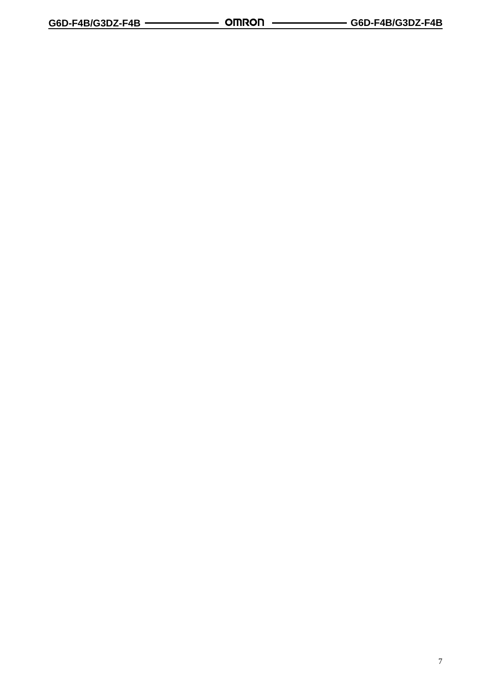7